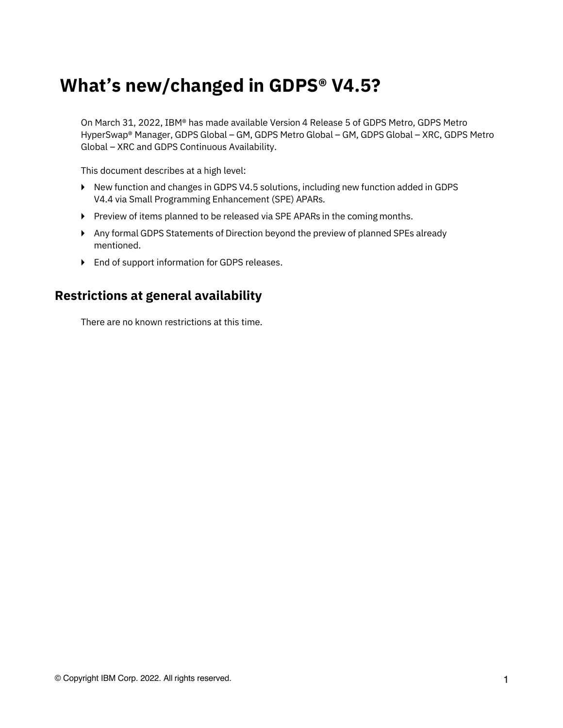# **What's new/changed in GDPS® V4.5?**

On March 31, 2022, IBM® has made available Version 4 Release 5 of GDPS Metro, GDPS Metro HyperSwap® Manager, GDPS Global – GM, GDPS Metro Global – GM, GDPS Global – XRC, GDPS Metro Global – XRC and GDPS Continuous Availability.

This document describes at a high level:

- ► New function and changes in GDPS V4.5 solutions, including new function added in GDPS V4.4 via Small Programming Enhancement (SPE) APARs.
- ► Preview of items planned to be released via SPE APARs in the coming months.
- ► Any formal GDPS Statements of Direction beyond the preview of planned SPEs already mentioned.
- ► End of support information for GDPS releases.

#### **Restrictions at general availability**

There are no known restrictions at this time.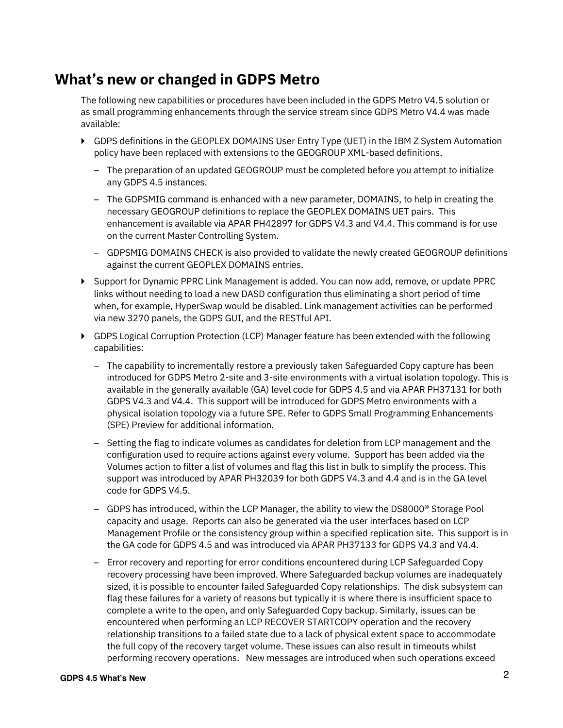#### **What's new or changed in GDPS Metro**

The following new capabilities or procedures have been included in the GDPS Metro V4.5 solution or as small programming enhancements through the service stream since GDPS Metro V4.4 was made available:

- ► GDPS definitions in the GEOPLEX DOMAINS User Entry Type (UET) in the IBM Z System Automation policy have been replaced with extensions to the GEOGROUP XML-based definitions.
	- The preparation of an updated GEOGROUP must be completed before you attempt to initialize any GDPS 4.5 instances.
	- The GDPSMIG command is enhanced with a new parameter, DOMAINS, to help in creating the necessary GEOGROUP definitions to replace the GEOPLEX DOMAINS UET pairs. This enhancement is available via APAR PH42897 for GDPS V4.3 and V4.4. This command is for use on the current Master Controlling System.
	- GDPSMIG DOMAINS CHECK is also provided to validate the newly created GEOGROUP definitions against the current GEOPLEX DOMAINS entries.
- ► Support for Dynamic PPRC Link Management is added. You can now add, remove, or update PPRC links without needing to load a new DASD configuration thus eliminating a short period of time when, for example, HyperSwap would be disabled. Link management activities can be performed via new 3270 panels, the GDPS GUI, and the RESTful API.
- ► GDPS Logical Corruption Protection (LCP) Manager feature has been extended with the following capabilities:
	- The capability to incrementally restore a previously taken Safeguarded Copy capture has been introduced for GDPS Metro 2-site and 3-site environments with a virtual isolation topology. This is available in the generally available (GA) level code for GDPS 4.5 and via APAR PH37131 for both GDPS V4.3 and V4.4. This support will be introduced for GDPS Metro environments with a physical isolation topology via a future SPE. Refer to GDPS Small Programming Enhancements (SPE) Preview for additional information.
	- Setting the flag to indicate volumes as candidates for deletion from LCP management and the configuration used to require actions against every volume. Support has been added via the Volumes action to filter a list of volumes and flag this list in bulk to simplify the process. This support was introduced by APAR PH32039 for both GDPS V4.3 and 4.4 and is in the GA level code for GDPS V4.5.
	- GDPS has introduced, within the LCP Manager, the ability to view the DS8000® Storage Pool capacity and usage. Reports can also be generated via the user interfaces based on LCP Management Profile or the consistency group within a specified replication site. This support is in the GA code for GDPS 4.5 and was introduced via APAR PH37133 for GDPS V4.3 and V4.4.
	- Error recovery and reporting for error conditions encountered during LCP Safeguarded Copy recovery processing have been improved. Where Safeguarded backup volumes are inadequately sized, it is possible to encounter failed Safeguarded Copy relationships. The disk subsystem can flag these failures for a variety of reasons but typically it is where there is insufficient space to complete a write to the open, and only Safeguarded Copy backup. Similarly, issues can be encountered when performing an LCP RECOVER STARTCOPY operation and the recovery relationship transitions to a failed state due to a lack of physical extent space to accommodate the full copy of the recovery target volume. These issues can also result in timeouts whilst performing recovery operations. New messages are introduced when such operations exceed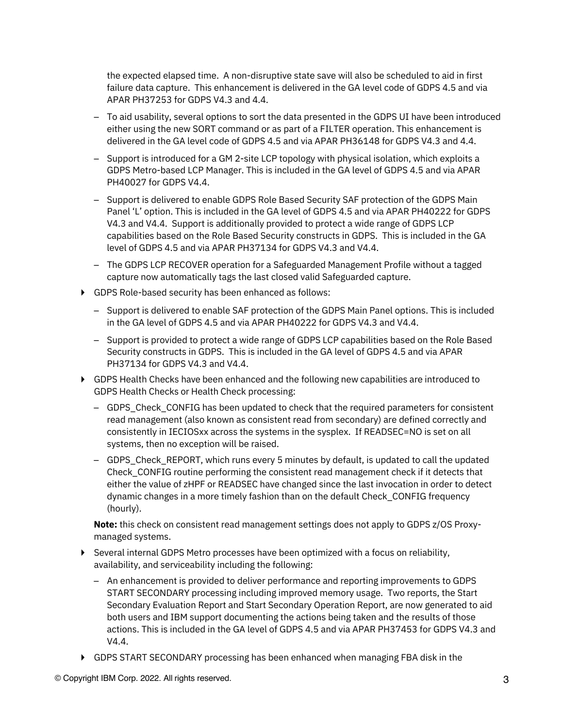the expected elapsed time. A non-disruptive state save will also be scheduled to aid in first failure data capture. This enhancement is delivered in the GA level code of GDPS 4.5 and via APAR PH37253 for GDPS V4.3 and 4.4.

- To aid usability, several options to sort the data presented in the GDPS UI have been introduced either using the new SORT command or as part of a FILTER operation. This enhancement is delivered in the GA level code of GDPS 4.5 and via APAR PH36148 for GDPS V4.3 and 4.4.
- Support is introduced for a GM 2-site LCP topology with physical isolation, which exploits a GDPS Metro-based LCP Manager. This is included in the GA level of GDPS 4.5 and via APAR PH40027 for GDPS V4.4.
- Support is delivered to enable GDPS Role Based Security SAF protection of the GDPS Main Panel 'L' option. This is included in the GA level of GDPS 4.5 and via APAR PH40222 for GDPS V4.3 and V4.4. Support is additionally provided to protect a wide range of GDPS LCP capabilities based on the Role Based Security constructs in GDPS. This is included in the GA level of GDPS 4.5 and via APAR PH37134 for GDPS V4.3 and V4.4.
- The GDPS LCP RECOVER operation for a Safeguarded Management Profile without a tagged capture now automatically tags the last closed valid Safeguarded capture.
- ► GDPS Role-based security has been enhanced as follows:
	- Support is delivered to enable SAF protection of the GDPS Main Panel options. This is included in the GA level of GDPS 4.5 and via APAR PH40222 for GDPS V4.3 and V4.4.
	- Support is provided to protect a wide range of GDPS LCP capabilities based on the Role Based Security constructs in GDPS. This is included in the GA level of GDPS 4.5 and via APAR PH37134 for GDPS V4.3 and V4.4.
- ▶ GDPS Health Checks have been enhanced and the following new capabilities are introduced to GDPS Health Checks or Health Check processing:
	- GDPS\_Check\_CONFIG has been updated to check that the required parameters for consistent read management (also known as consistent read from secondary) are defined correctly and consistently in IECIOSxx across the systems in the sysplex. If READSEC=NO is set on all systems, then no exception will be raised.
	- GDPS\_Check\_REPORT, which runs every 5 minutes by default, is updated to call the updated Check\_CONFIG routine performing the consistent read management check if it detects that either the value of zHPF or READSEC have changed since the last invocation in order to detect dynamic changes in a more timely fashion than on the default Check\_CONFIG frequency (hourly).

**Note:** this check on consistent read management settings does not apply to GDPS z/OS Proxymanaged systems.

- ► Several internal GDPS Metro processes have been optimized with a focus on reliability, availability, and serviceability including the following:
	- An enhancement is provided to deliver performance and reporting improvements to GDPS START SECONDARY processing including improved memory usage. Two reports, the Start Secondary Evaluation Report and Start Secondary Operation Report, are now generated to aid both users and IBM support documenting the actions being taken and the results of those actions. This is included in the GA level of GDPS 4.5 and via APAR PH37453 for GDPS V4.3 and V4.4.
- ► GDPS START SECONDARY processing has been enhanced when managing FBA disk in the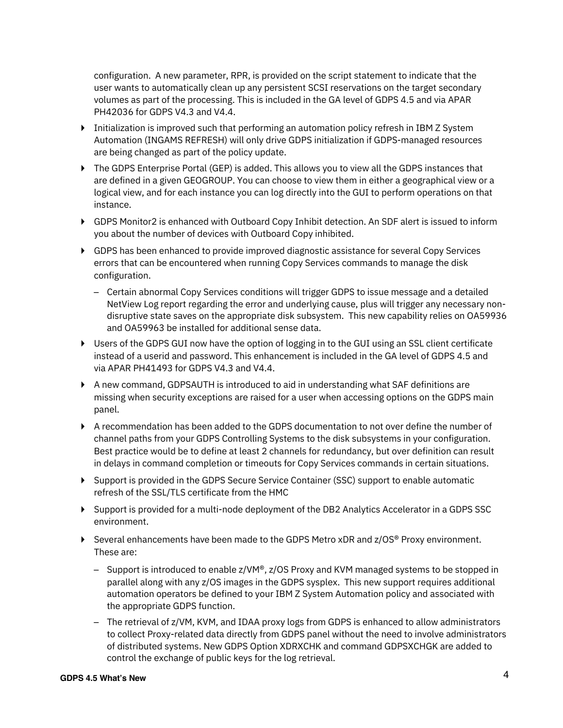configuration. A new parameter, RPR, is provided on the script statement to indicate that the user wants to automatically clean up any persistent SCSI reservations on the target secondary volumes as part of the processing. This is included in the GA level of GDPS 4.5 and via APAR PH42036 for GDPS V4.3 and V4.4.

- ► Initialization is improved such that performing an automation policy refresh in IBM Z System Automation (INGAMS REFRESH) will only drive GDPS initialization if GDPS-managed resources are being changed as part of the policy update.
- ► The GDPS Enterprise Portal (GEP) is added. This allows you to view all the GDPS instances that are defined in a given GEOGROUP. You can choose to view them in either a geographical view or a logical view, and for each instance you can log directly into the GUI to perform operations on that instance.
- ▶ GDPS Monitor2 is enhanced with Outboard Copy Inhibit detection. An SDF alert is issued to inform you about the number of devices with Outboard Copy inhibited.
- ► GDPS has been enhanced to provide improved diagnostic assistance for several Copy Services errors that can be encountered when running Copy Services commands to manage the disk configuration.
	- Certain abnormal Copy Services conditions will trigger GDPS to issue message and a detailed NetView Log report regarding the error and underlying cause, plus will trigger any necessary nondisruptive state saves on the appropriate disk subsystem. This new capability relies on OA59936 and OA59963 be installed for additional sense data.
- ► Users of the GDPS GUI now have the option of logging in to the GUI using an SSL client certificate instead of a userid and password. This enhancement is included in the GA level of GDPS 4.5 and via APAR PH41493 for GDPS V4.3 and V4.4.
- ► A new command, GDPSAUTH is introduced to aid in understanding what SAF definitions are missing when security exceptions are raised for a user when accessing options on the GDPS main panel.
- ► A recommendation has been added to the GDPS documentation to not over define the number of channel paths from your GDPS Controlling Systems to the disk subsystems in your configuration. Best practice would be to define at least 2 channels for redundancy, but over definition can result in delays in command completion or timeouts for Copy Services commands in certain situations.
- ► Support is provided in the GDPS Secure Service Container (SSC) support to enable automatic refresh of the SSL/TLS certificate from the HMC
- ► Support is provided for a multi-node deployment of the DB2 Analytics Accelerator in a GDPS SSC environment.
- ► Several enhancements have been made to the GDPS Metro xDR and z/OS® Proxy environment. These are:
	- $-$  Support is introduced to enable z/VM<sup>®</sup>, z/OS Proxy and KVM managed systems to be stopped in parallel along with any z/OS images in the GDPS sysplex. This new support requires additional automation operators be defined to your IBM Z System Automation policy and associated with the appropriate GDPS function.
	- The retrieval of z/VM, KVM, and IDAA proxy logs from GDPS is enhanced to allow administrators to collect Proxy-related data directly from GDPS panel without the need to involve administrators of distributed systems. New GDPS Option XDRXCHK and command GDPSXCHGK are added to control the exchange of public keys for the log retrieval.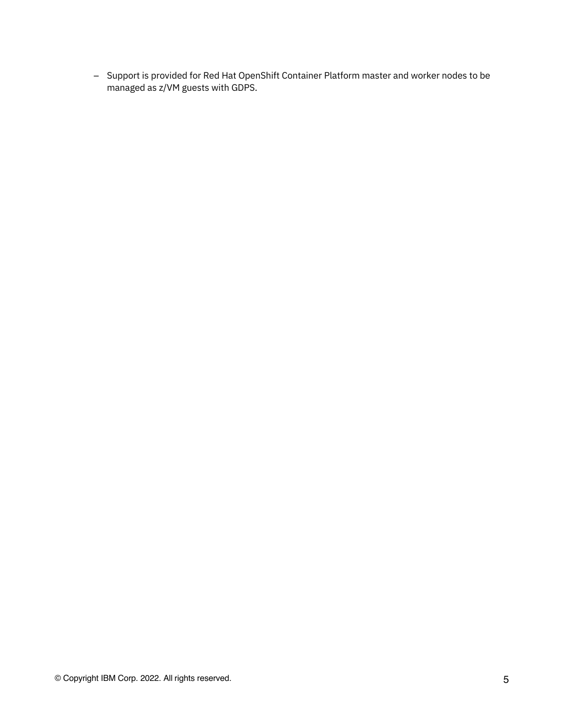– Support is provided for Red Hat OpenShift Container Platform master and worker nodes to be managed as z/VM guests with GDPS.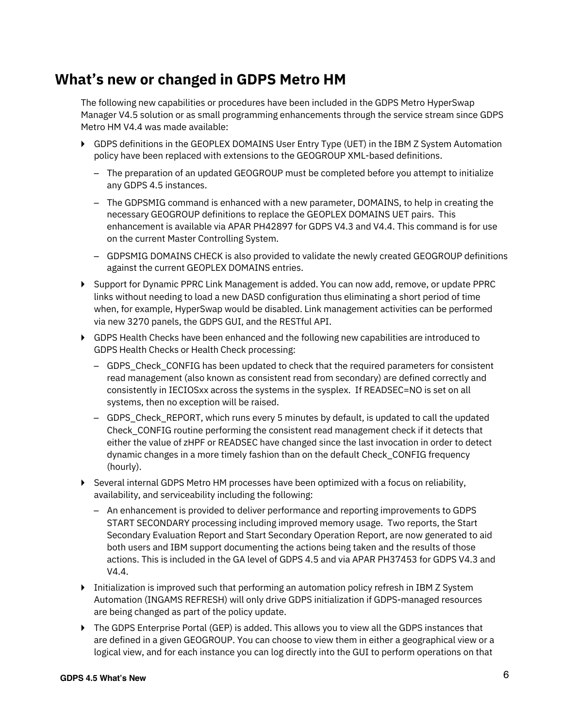#### **What's new or changed in GDPS Metro HM**

The following new capabilities or procedures have been included in the GDPS Metro HyperSwap Manager V4.5 solution or as small programming enhancements through the service stream since GDPS Metro HM V4.4 was made available:

- ► GDPS definitions in the GEOPLEX DOMAINS User Entry Type (UET) in the IBM Z System Automation policy have been replaced with extensions to the GEOGROUP XML-based definitions.
	- The preparation of an updated GEOGROUP must be completed before you attempt to initialize any GDPS 4.5 instances.
	- The GDPSMIG command is enhanced with a new parameter, DOMAINS, to help in creating the necessary GEOGROUP definitions to replace the GEOPLEX DOMAINS UET pairs. This enhancement is available via APAR PH42897 for GDPS V4.3 and V4.4. This command is for use on the current Master Controlling System.
	- GDPSMIG DOMAINS CHECK is also provided to validate the newly created GEOGROUP definitions against the current GEOPLEX DOMAINS entries.
- ► Support for Dynamic PPRC Link Management is added. You can now add, remove, or update PPRC links without needing to load a new DASD configuration thus eliminating a short period of time when, for example, HyperSwap would be disabled. Link management activities can be performed via new 3270 panels, the GDPS GUI, and the RESTful API.
- ► GDPS Health Checks have been enhanced and the following new capabilities are introduced to GDPS Health Checks or Health Check processing:
	- GDPS\_Check\_CONFIG has been updated to check that the required parameters for consistent read management (also known as consistent read from secondary) are defined correctly and consistently in IECIOSxx across the systems in the sysplex. If READSEC=NO is set on all systems, then no exception will be raised.
	- GDPS\_Check\_REPORT, which runs every 5 minutes by default, is updated to call the updated Check\_CONFIG routine performing the consistent read management check if it detects that either the value of zHPF or READSEC have changed since the last invocation in order to detect dynamic changes in a more timely fashion than on the default Check\_CONFIG frequency (hourly).
- ► Several internal GDPS Metro HM processes have been optimized with a focus on reliability, availability, and serviceability including the following:
	- An enhancement is provided to deliver performance and reporting improvements to GDPS START SECONDARY processing including improved memory usage. Two reports, the Start Secondary Evaluation Report and Start Secondary Operation Report, are now generated to aid both users and IBM support documenting the actions being taken and the results of those actions. This is included in the GA level of GDPS 4.5 and via APAR PH37453 for GDPS V4.3 and V4.4.
- ► Initialization is improved such that performing an automation policy refresh in IBM Z System Automation (INGAMS REFRESH) will only drive GDPS initialization if GDPS-managed resources are being changed as part of the policy update.
- ► The GDPS Enterprise Portal (GEP) is added. This allows you to view all the GDPS instances that are defined in a given GEOGROUP. You can choose to view them in either a geographical view or a logical view, and for each instance you can log directly into the GUI to perform operations on that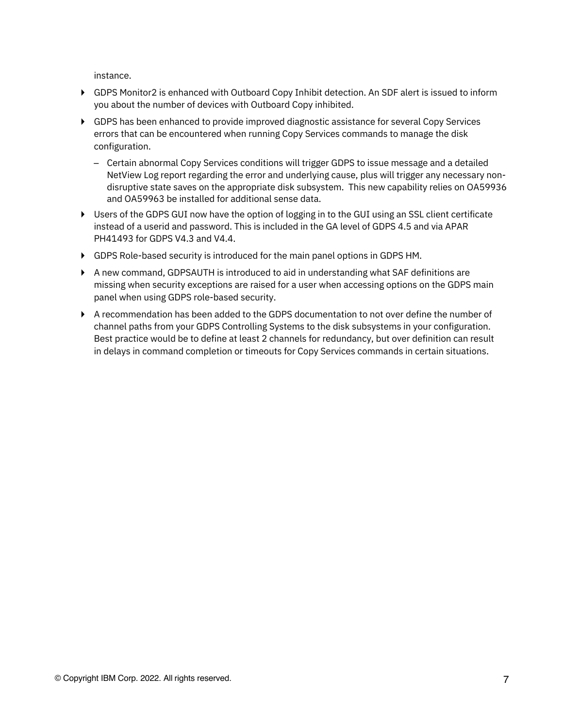instance.

- ► GDPS Monitor2 is enhanced with Outboard Copy Inhibit detection. An SDF alert is issued to inform you about the number of devices with Outboard Copy inhibited.
- ► GDPS has been enhanced to provide improved diagnostic assistance for several Copy Services errors that can be encountered when running Copy Services commands to manage the disk configuration.
	- Certain abnormal Copy Services conditions will trigger GDPS to issue message and a detailed NetView Log report regarding the error and underlying cause, plus will trigger any necessary nondisruptive state saves on the appropriate disk subsystem. This new capability relies on OA59936 and OA59963 be installed for additional sense data.
- ► Users of the GDPS GUI now have the option of logging in to the GUI using an SSL client certificate instead of a userid and password. This is included in the GA level of GDPS 4.5 and via APAR PH41493 for GDPS V4.3 and V4.4.
- ► GDPS Role-based security is introduced for the main panel options in GDPS HM.
- ▶ A new command, GDPSAUTH is introduced to aid in understanding what SAF definitions are missing when security exceptions are raised for a user when accessing options on the GDPS main panel when using GDPS role-based security.
- ► A recommendation has been added to the GDPS documentation to not over define the number of channel paths from your GDPS Controlling Systems to the disk subsystems in your configuration. Best practice would be to define at least 2 channels for redundancy, but over definition can result in delays in command completion or timeouts for Copy Services commands in certain situations.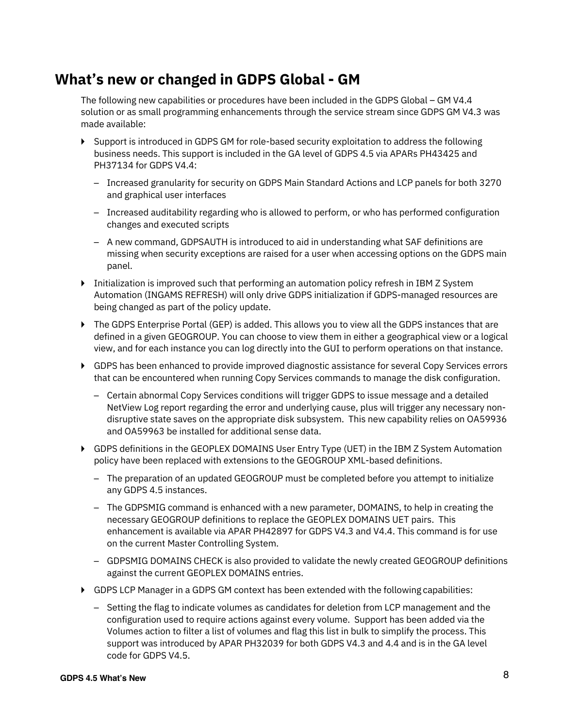#### **What's new or changed in GDPS Global - GM**

The following new capabilities or procedures have been included in the GDPS Global – GM V4.4 solution or as small programming enhancements through the service stream since GDPS GM V4.3 was made available:

- ► Support is introduced in GDPS GM for role-based security exploitation to address the following business needs. This support is included in the GA level of GDPS 4.5 via APARs PH43425 and PH37134 for GDPS V4.4:
	- Increased granularity for security on GDPS Main Standard Actions and LCP panels for both 3270 and graphical user interfaces
	- Increased auditability regarding who is allowed to perform, or who has performed configuration changes and executed scripts
	- A new command, GDPSAUTH is introduced to aid in understanding what SAF definitions are missing when security exceptions are raised for a user when accessing options on the GDPS main panel.
- ► Initialization is improved such that performing an automation policy refresh in IBM Z System Automation (INGAMS REFRESH) will only drive GDPS initialization if GDPS-managed resources are being changed as part of the policy update.
- ► The GDPS Enterprise Portal (GEP) is added. This allows you to view all the GDPS instances that are defined in a given GEOGROUP. You can choose to view them in either a geographical view or a logical view, and for each instance you can log directly into the GUI to perform operations on that instance.
- ► GDPS has been enhanced to provide improved diagnostic assistance for several Copy Services errors that can be encountered when running Copy Services commands to manage the disk configuration.
	- Certain abnormal Copy Services conditions will trigger GDPS to issue message and a detailed NetView Log report regarding the error and underlying cause, plus will trigger any necessary nondisruptive state saves on the appropriate disk subsystem. This new capability relies on OA59936 and OA59963 be installed for additional sense data.
- ► GDPS definitions in the GEOPLEX DOMAINS User Entry Type (UET) in the IBM Z System Automation policy have been replaced with extensions to the GEOGROUP XML-based definitions.
	- The preparation of an updated GEOGROUP must be completed before you attempt to initialize any GDPS 4.5 instances.
	- The GDPSMIG command is enhanced with a new parameter, DOMAINS, to help in creating the necessary GEOGROUP definitions to replace the GEOPLEX DOMAINS UET pairs. This enhancement is available via APAR PH42897 for GDPS V4.3 and V4.4. This command is for use on the current Master Controlling System.
	- GDPSMIG DOMAINS CHECK is also provided to validate the newly created GEOGROUP definitions against the current GEOPLEX DOMAINS entries.
- ► GDPS LCP Manager in a GDPS GM context has been extended with the following capabilities:
	- Setting the flag to indicate volumes as candidates for deletion from LCP management and the configuration used to require actions against every volume. Support has been added via the Volumes action to filter a list of volumes and flag this list in bulk to simplify the process. This support was introduced by APAR PH32039 for both GDPS V4.3 and 4.4 and is in the GA level code for GDPS V4.5.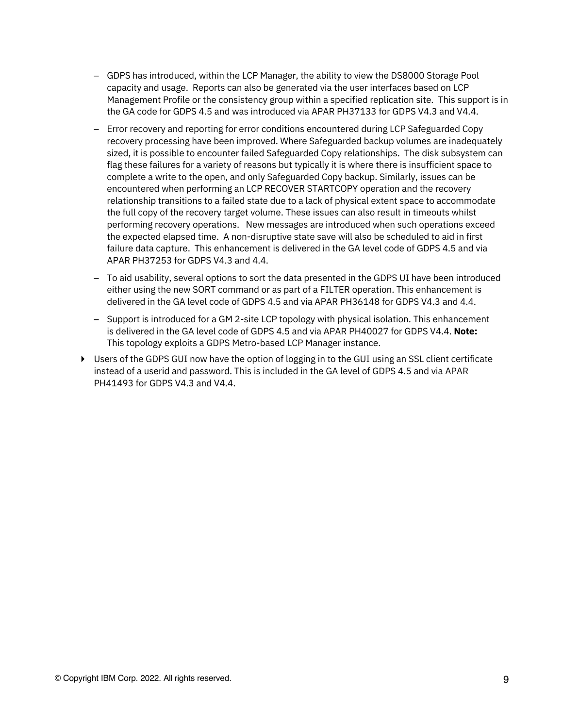- GDPS has introduced, within the LCP Manager, the ability to view the DS8000 Storage Pool capacity and usage. Reports can also be generated via the user interfaces based on LCP Management Profile or the consistency group within a specified replication site. This support is in the GA code for GDPS 4.5 and was introduced via APAR PH37133 for GDPS V4.3 and V4.4.
- Error recovery and reporting for error conditions encountered during LCP Safeguarded Copy recovery processing have been improved. Where Safeguarded backup volumes are inadequately sized, it is possible to encounter failed Safeguarded Copy relationships. The disk subsystem can flag these failures for a variety of reasons but typically it is where there is insufficient space to complete a write to the open, and only Safeguarded Copy backup. Similarly, issues can be encountered when performing an LCP RECOVER STARTCOPY operation and the recovery relationship transitions to a failed state due to a lack of physical extent space to accommodate the full copy of the recovery target volume. These issues can also result in timeouts whilst performing recovery operations. New messages are introduced when such operations exceed the expected elapsed time. A non-disruptive state save will also be scheduled to aid in first failure data capture. This enhancement is delivered in the GA level code of GDPS 4.5 and via APAR PH37253 for GDPS V4.3 and 4.4.
- To aid usability, several options to sort the data presented in the GDPS UI have been introduced either using the new SORT command or as part of a FILTER operation. This enhancement is delivered in the GA level code of GDPS 4.5 and via APAR PH36148 for GDPS V4.3 and 4.4.
- Support is introduced for a GM 2-site LCP topology with physical isolation. This enhancement is delivered in the GA level code of GDPS 4.5 and via APAR PH40027 for GDPS V4.4. **Note:** This topology exploits a GDPS Metro-based LCP Manager instance.
- ► Users of the GDPS GUI now have the option of logging in to the GUI using an SSL client certificate instead of a userid and password. This is included in the GA level of GDPS 4.5 and via APAR PH41493 for GDPS V4.3 and V4.4.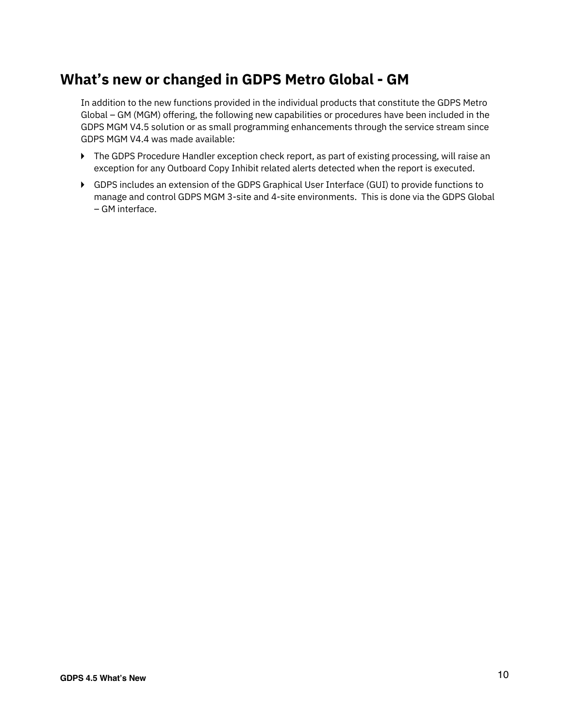## **What's new or changed in GDPS Metro Global - GM**

In addition to the new functions provided in the individual products that constitute the GDPS Metro Global – GM (MGM) offering, the following new capabilities or procedures have been included in the GDPS MGM V4.5 solution or as small programming enhancements through the service stream since GDPS MGM V4.4 was made available:

- ▶ The GDPS Procedure Handler exception check report, as part of existing processing, will raise an exception for any Outboard Copy Inhibit related alerts detected when the report is executed.
- ► GDPS includes an extension of the GDPS Graphical User Interface (GUI) to provide functions to manage and control GDPS MGM 3-site and 4-site environments. This is done via the GDPS Global – GM interface.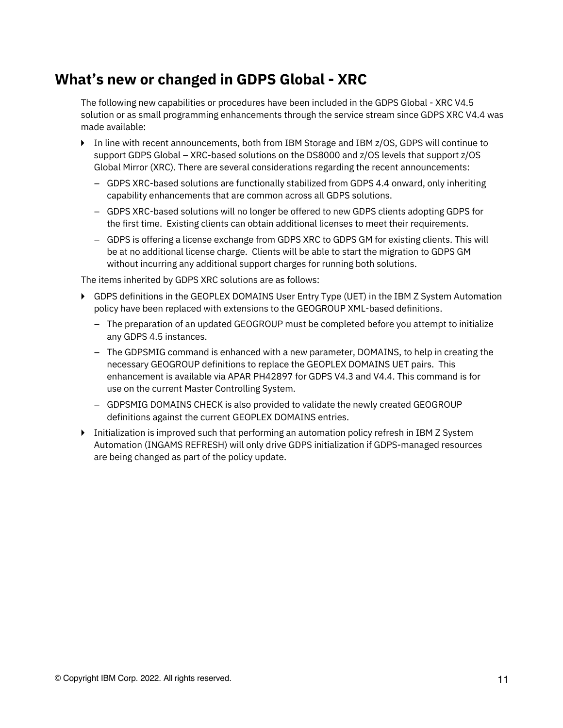#### **What's new or changed in GDPS Global - XRC**

The following new capabilities or procedures have been included in the GDPS Global - XRC V4.5 solution or as small programming enhancements through the service stream since GDPS XRC V4.4 was made available:

- ► In line with recent announcements, both from IBM Storage and IBM z/OS, GDPS will continue to support GDPS Global – XRC-based solutions on the DS8000 and z/OS levels that support z/OS Global Mirror (XRC). There are several considerations regarding the recent announcements:
	- GDPS XRC-based solutions are functionally stabilized from GDPS 4.4 onward, only inheriting capability enhancements that are common across all GDPS solutions.
	- GDPS XRC-based solutions will no longer be offered to new GDPS clients adopting GDPS for the first time. Existing clients can obtain additional licenses to meet their requirements.
	- GDPS is offering a license exchange from GDPS XRC to GDPS GM for existing clients. This will be at no additional license charge. Clients will be able to start the migration to GDPS GM without incurring any additional support charges for running both solutions.

The items inherited by GDPS XRC solutions are as follows:

- ► GDPS definitions in the GEOPLEX DOMAINS User Entry Type (UET) in the IBM Z System Automation policy have been replaced with extensions to the GEOGROUP XML-based definitions.
	- The preparation of an updated GEOGROUP must be completed before you attempt to initialize any GDPS 4.5 instances.
	- The GDPSMIG command is enhanced with a new parameter, DOMAINS, to help in creating the necessary GEOGROUP definitions to replace the GEOPLEX DOMAINS UET pairs. This enhancement is available via APAR PH42897 for GDPS V4.3 and V4.4. This command is for use on the current Master Controlling System.
	- GDPSMIG DOMAINS CHECK is also provided to validate the newly created GEOGROUP definitions against the current GEOPLEX DOMAINS entries.
- ► Initialization is improved such that performing an automation policy refresh in IBM Z System Automation (INGAMS REFRESH) will only drive GDPS initialization if GDPS-managed resources are being changed as part of the policy update.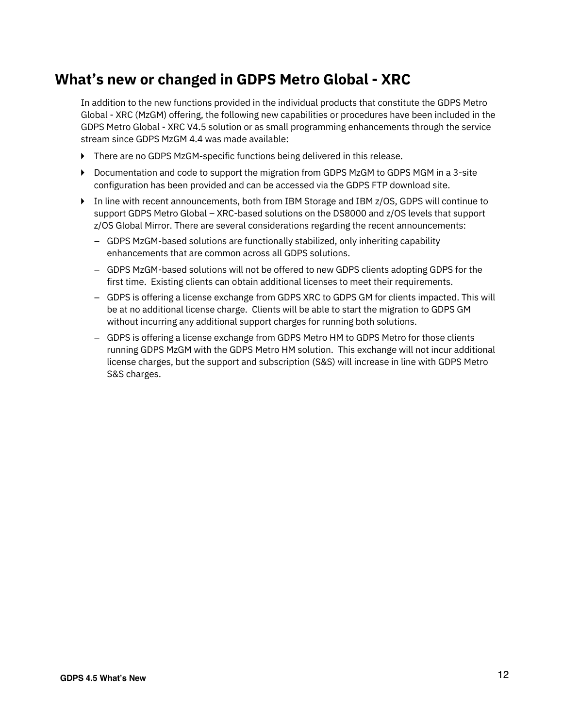## **What's new or changed in GDPS Metro Global - XRC**

In addition to the new functions provided in the individual products that constitute the GDPS Metro Global - XRC (MzGM) offering, the following new capabilities or procedures have been included in the GDPS Metro Global - XRC V4.5 solution or as small programming enhancements through the service stream since GDPS MzGM 4.4 was made available:

- ► There are no GDPS MzGM-specific functions being delivered in this release.
- ► Documentation and code to support the migration from GDPS MzGM to GDPS MGM in a 3-site configuration has been provided and can be accessed via the GDPS FTP download site.
- ► In line with recent announcements, both from IBM Storage and IBM z/OS, GDPS will continue to support GDPS Metro Global – XRC-based solutions on the DS8000 and z/OS levels that support z/OS Global Mirror. There are several considerations regarding the recent announcements:
	- GDPS MzGM-based solutions are functionally stabilized, only inheriting capability enhancements that are common across all GDPS solutions.
	- GDPS MzGM-based solutions will not be offered to new GDPS clients adopting GDPS for the first time. Existing clients can obtain additional licenses to meet their requirements.
	- GDPS is offering a license exchange from GDPS XRC to GDPS GM for clients impacted. This will be at no additional license charge. Clients will be able to start the migration to GDPS GM without incurring any additional support charges for running both solutions.
	- GDPS is offering a license exchange from GDPS Metro HM to GDPS Metro for those clients running GDPS MzGM with the GDPS Metro HM solution. This exchange will not incur additional license charges, but the support and subscription (S&S) will increase in line with GDPS Metro S&S charges.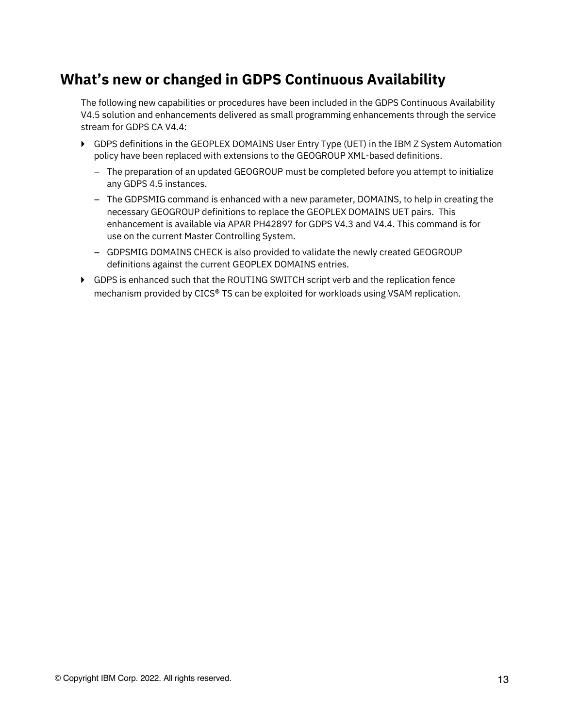#### **What's new or changed in GDPS Continuous Availability**

The following new capabilities or procedures have been included in the GDPS Continuous Availability V4.5 solution and enhancements delivered as small programming enhancements through the service stream for GDPS CA V4.4:

- ► GDPS definitions in the GEOPLEX DOMAINS User Entry Type (UET) in the IBM Z System Automation policy have been replaced with extensions to the GEOGROUP XML-based definitions.
	- The preparation of an updated GEOGROUP must be completed before you attempt to initialize any GDPS 4.5 instances.
	- The GDPSMIG command is enhanced with a new parameter, DOMAINS, to help in creating the necessary GEOGROUP definitions to replace the GEOPLEX DOMAINS UET pairs. This enhancement is available via APAR PH42897 for GDPS V4.3 and V4.4. This command is for use on the current Master Controlling System.
	- GDPSMIG DOMAINS CHECK is also provided to validate the newly created GEOGROUP definitions against the current GEOPLEX DOMAINS entries.
- ► GDPS is enhanced such that the ROUTING SWITCH script verb and the replication fence mechanism provided by CICS® TS can be exploited for workloads using VSAM replication.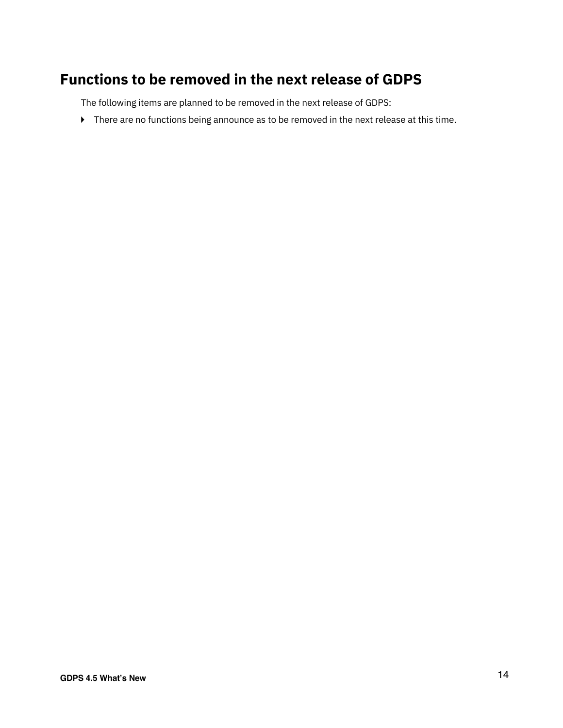## **Functions to be removed in the next release of GDPS**

The following items are planned to be removed in the next release of GDPS:

► There are no functions being announce as to be removed in the next release at this time.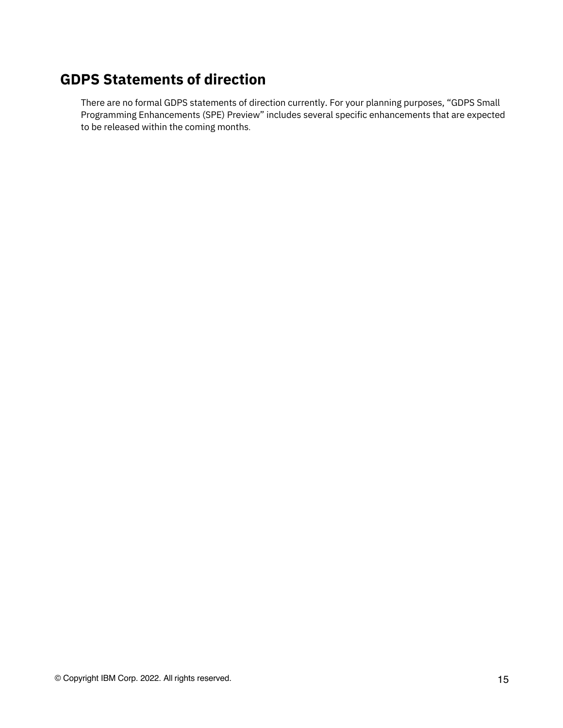# **GDPS Statements of direction**

There are no formal GDPS statements of direction currently. For your planning purposes, "GDPS Small Programming Enhancements (SPE) Preview" includes several specific enhancements that are expected to be released within the coming months.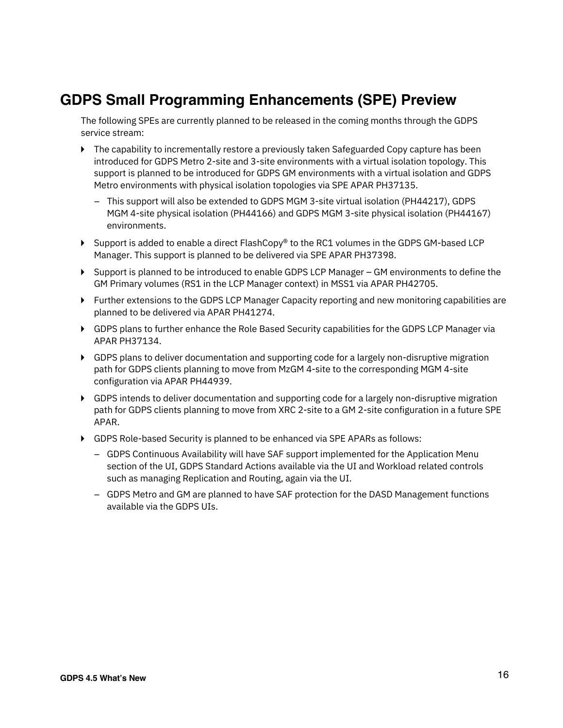#### **GDPS Small Programming Enhancements (SPE) Preview**

The following SPEs are currently planned to be released in the coming months through the GDPS service stream:

- ► The capability to incrementally restore a previously taken Safeguarded Copy capture has been introduced for GDPS Metro 2-site and 3-site environments with a virtual isolation topology. This support is planned to be introduced for GDPS GM environments with a virtual isolation and GDPS Metro environments with physical isolation topologies via SPE APAR PH37135.
	- This support will also be extended to GDPS MGM 3-site virtual isolation (PH44217), GDPS MGM 4-site physical isolation (PH44166) and GDPS MGM 3-site physical isolation (PH44167) environments.
- ► Support is added to enable a direct FlashCopy® to the RC1 volumes in the GDPS GM-based LCP Manager. This support is planned to be delivered via SPE APAR PH37398.
- ► Support is planned to be introduced to enable GDPS LCP Manager GM environments to define the GM Primary volumes (RS1 in the LCP Manager context) in MSS1 via APAR PH42705.
- ► Further extensions to the GDPS LCP Manager Capacity reporting and new monitoring capabilities are planned to be delivered via APAR PH41274.
- ► GDPS plans to further enhance the Role Based Security capabilities for the GDPS LCP Manager via APAR PH37134.
- ▶ GDPS plans to deliver documentation and supporting code for a largely non-disruptive migration path for GDPS clients planning to move from MzGM 4-site to the corresponding MGM 4-site configuration via APAR PH44939.
- ► GDPS intends to deliver documentation and supporting code for a largely non-disruptive migration path for GDPS clients planning to move from XRC 2-site to a GM 2-site configuration in a future SPE APAR.
- ► GDPS Role-based Security is planned to be enhanced via SPE APARs as follows:
	- GDPS Continuous Availability will have SAF support implemented for the Application Menu section of the UI, GDPS Standard Actions available via the UI and Workload related controls such as managing Replication and Routing, again via the UI.
	- GDPS Metro and GM are planned to have SAF protection for the DASD Management functions available via the GDPS UIs.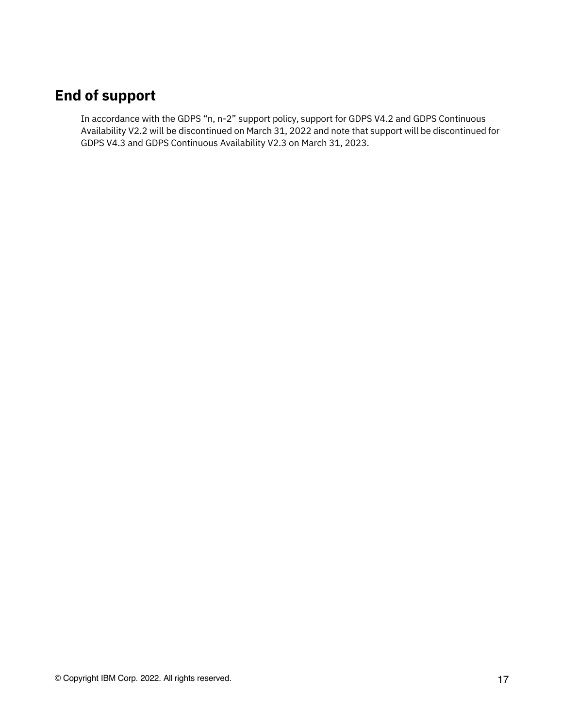# **End of support**

In accordance with the GDPS "n, n-2" support policy, support for GDPS V4.2 and GDPS Continuous Availability V2.2 will be discontinued on March 31, 2022 and note that support will be discontinued for GDPS V4.3 and GDPS Continuous Availability V2.3 on March 31, 2023.